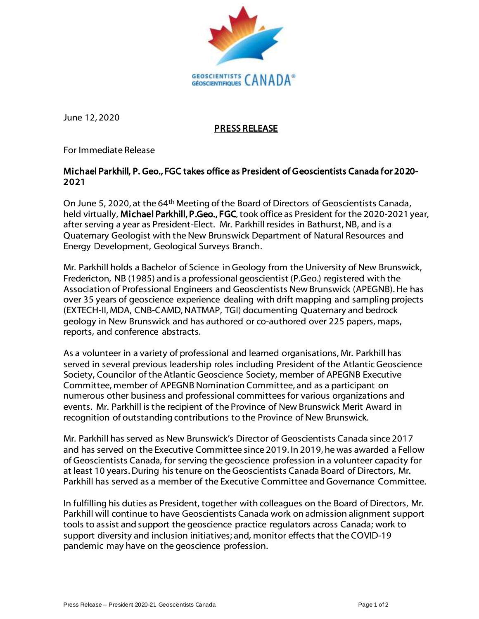

June 12, 2020

## PRESS RELEASE

For Immediate Release

## Michael Parkhill, P. Geo., FGC takes office as President of Geoscientists Canada for 2020- 2021

On June 5, 2020, at the 64th Meeting of the Board of Directors of Geoscientists Canada, held virtually, Michael Parkhill, P.Geo., FGC, took office as President for the 2020-2021 year, after serving a year as President-Elect. Mr. Parkhill resides in Bathurst, NB, and is a Quaternary Geologist with the New Brunswick Department of Natural Resources and Energy Development, Geological Surveys Branch.

Mr. Parkhill holds a Bachelor of Science in Geology from the University of New Brunswick, Fredericton, NB (1985) and is a professional geoscientist (P.Geo.) registered with the Association of Professional Engineers and Geoscientists New Brunswick (APEGNB). He has over 35 years of geoscience experience dealing with drift mapping and sampling projects (EXTECH-II, MDA, CNB-CAMD, NATMAP, TGI) documenting Quaternary and bedrock geology in New Brunswick and has authored or co-authored over 225 papers, maps, reports, and conference abstracts.

As a volunteer in a variety of professional and learned organisations, Mr. Parkhill has served in several previous leadership roles including President of the Atlantic Geoscience Society, Councilor of the Atlantic Geoscience Society, member of APEGNB Executive Committee, member of APEGNB Nomination Committee, and as a participant on numerous other business and professional committees for various organizations and events. Mr. Parkhill is the recipient of the Province of New Brunswick Merit Award in recognition of outstanding contributions to the Province of New Brunswick.

Mr. Parkhill has served as New Brunswick's Director of Geoscientists Canada since 2017 and has served on the Executive Committee since 2019. In 2019, he was awarded a Fellow of Geoscientists Canada, for serving the geoscience profession in a volunteer capacity for at least 10 years.During his tenure on the Geoscientists Canada Board of Directors, Mr. Parkhill has served as a member of the Executive Committee and Governance Committee.

In fulfilling his duties as President, together with colleagues on the Board of Directors, Mr. Parkhill will continue to have Geoscientists Canada work on admission alignment support tools to assist and support the geoscience practice regulators across Canada; work to support diversity and inclusion initiatives; and, monitor effects that the COVID-19 pandemic may have on the geoscience profession.